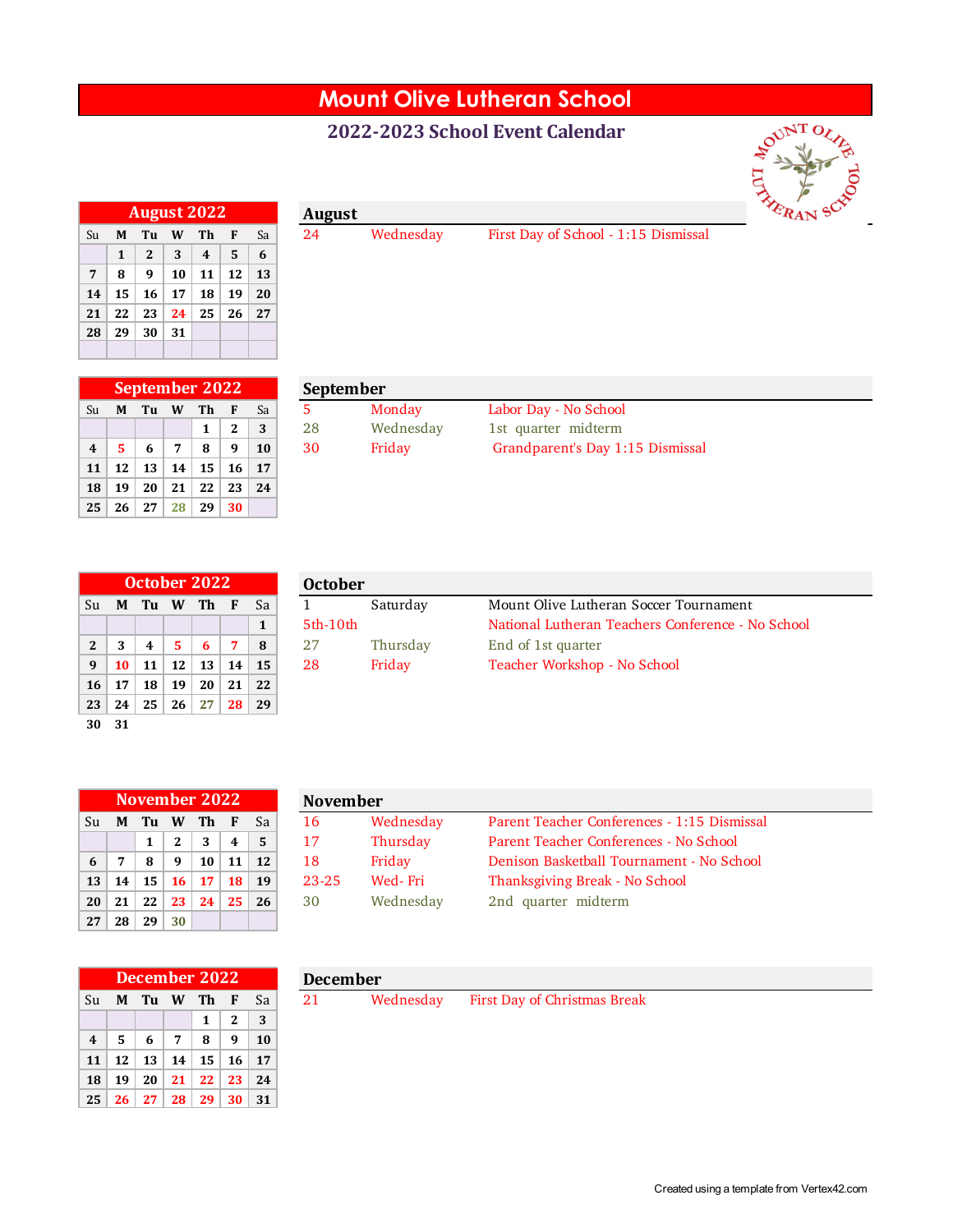## **Mount Olive Lutheran School**

## **2022-2023 School Event Calendar**



|    | <b>August 2022</b><br>W<br>Th<br>F<br>Tu<br>M<br>2<br>3<br>5<br>$\boldsymbol{4}$<br>1<br>12<br>10<br>11<br>8<br>9<br>16<br>15<br>18<br>19<br>17<br>25<br>22<br>23<br>26<br>24<br>29<br>30<br>31 |  |  |  |  |    |
|----|-------------------------------------------------------------------------------------------------------------------------------------------------------------------------------------------------|--|--|--|--|----|
| Su |                                                                                                                                                                                                 |  |  |  |  | Sa |
|    |                                                                                                                                                                                                 |  |  |  |  | 6  |
| 7  |                                                                                                                                                                                                 |  |  |  |  | 13 |
| 14 |                                                                                                                                                                                                 |  |  |  |  | 20 |
| 21 |                                                                                                                                                                                                 |  |  |  |  | 27 |
| 28 |                                                                                                                                                                                                 |  |  |  |  |    |
|    |                                                                                                                                                                                                 |  |  |  |  |    |

Wednesday First Day of School - 1:15 Dismissal

|                         | <b>September 2022</b>         |                 |    |            |    |    |  |  |  |  |
|-------------------------|-------------------------------|-----------------|----|------------|----|----|--|--|--|--|
| Su                      | Th<br>Tu<br>Sa<br>W<br>М<br>F |                 |    |            |    |    |  |  |  |  |
|                         |                               |                 |    | 1          | 2  | 3  |  |  |  |  |
| $\overline{\mathbf{4}}$ | 5                             | 6               | 7  | 8          | 9  | 10 |  |  |  |  |
| 11                      | 12                            | 13 <sup>1</sup> | 14 | $\vert$ 15 | 16 | 17 |  |  |  |  |
| 18                      | 19                            | 20              | 21 | 22         | 23 | 24 |  |  |  |  |
| 25                      | 26                            | 27 <sup>1</sup> | 28 | 29         | 30 |    |  |  |  |  |

|    | September |
|----|-----------|
| 5  | Mot       |
| 28 | Wed       |

|  | Su <b>MTuWTh</b>              |                   | - Sa         | Monday    | Labor Day - No School            |
|--|-------------------------------|-------------------|--------------|-----------|----------------------------------|
|  |                               | $1 \mid 2 \mid 3$ |              | Wednesdav | 1st quarter midterm              |
|  | $4 \mid 5 \mid 6 \mid 7 \mid$ |                   | $8$   9   10 | Fridav    | Grandparent's Day 1:15 Dismissal |
|  |                               |                   |              |           |                                  |

|              | October 2022 |    |    |    |    |    |  |  |  |  |
|--------------|--------------|----|----|----|----|----|--|--|--|--|
| Su           | М            | Tu | W  | Th | F  | Sa |  |  |  |  |
|              |              |    |    |    |    | 1  |  |  |  |  |
| $\mathbf{2}$ | 3            | 4  | 5  | 6  | 7  | 8  |  |  |  |  |
| 9            | 10           | 11 | 12 | 13 | 14 | 15 |  |  |  |  |
| 16           | 17           | 18 | 19 | 20 | 21 | 22 |  |  |  |  |
| 23           | 24           | 25 | 26 | 27 | 28 | 29 |  |  |  |  |
| 30           | 31           |    |    |    |    |    |  |  |  |  |

| October 2022   |   |      |          |    |    |    | <b>October</b> |                                                    |                                                   |  |  |  |
|----------------|---|------|----------|----|----|----|----------------|----------------------------------------------------|---------------------------------------------------|--|--|--|
| Su             | M | - Tu | <b>W</b> | Th |    | Sa |                | Mount Olive Lutheran Soccer Tournament<br>Saturday |                                                   |  |  |  |
|                |   |      |          |    |    |    | $5th-10th$     |                                                    | National Lutheran Teachers Conference - No School |  |  |  |
| 2 <sup>1</sup> |   |      |          |    |    | 8  |                | Thursday                                           | End of 1st quarter                                |  |  |  |
| 9              |   |      | 12       | 13 | 14 | 15 | 28             | Teacher Workshop - No School<br>Fridav             |                                                   |  |  |  |
|                |   |      |          |    |    |    |                |                                                    |                                                   |  |  |  |

|    |    | November 2022   |              |    | <b>November</b> |    |           |    |
|----|----|-----------------|--------------|----|-----------------|----|-----------|----|
| Su | М  | Tu              | <b>W</b>     | Th | F               | Sa | 16        | W  |
|    |    | 1               | $\mathbf{2}$ | 3  | $\overline{4}$  | 5  | 17        | Tl |
| 6  | 7  | 8               | 9            | 10 | 11              | 12 | 18        | Fr |
| 13 | 14 | 15 <sup>1</sup> | <b>16</b>    | 17 | 18              | 19 | $23 - 25$ | W  |
| 20 | 21 | 22              | 23           | 24 | 25              | 26 | 30        | W  |
| 27 | 28 | 29              | 30           |    |                 |    |           |    |

|                 |    | November 2022 |           |     |     |           | <b>November</b> |           |                                             |  |  |
|-----------------|----|---------------|-----------|-----|-----|-----------|-----------------|-----------|---------------------------------------------|--|--|
| Su              | M  | Tu            | W         | Th. | - F | Sa        | 16              | Wednesday | Parent Teacher Conferences - 1:15 Dismissal |  |  |
|                 |    |               |           | 3   | 4   |           | 17              | Thursday  | Parent Teacher Conferences - No School      |  |  |
| $6-1$           |    | 8             | q         | 10  | 11  | <b>12</b> | 18              | Friday    | Denison Basketball Tournament - No School   |  |  |
| 13 <sup>1</sup> | 14 | 15            | <b>16</b> | 17  | 18  | 19        | $23 - 25$       | Wed-Fri   | Thanksgiving Break - No School              |  |  |
| 20 <sup>1</sup> | 21 | 22            | 23        | 24  | 25  | 26        | 30              | Wednesday | 2nd quarter midterm                         |  |  |
|                 |    |               |           |     |     |           |                 |           |                                             |  |  |

|                         | <b>December 2022</b> |      |   |                           |              |     |  |  |  |  |  |
|-------------------------|----------------------|------|---|---------------------------|--------------|-----|--|--|--|--|--|
| Su                      |                      |      |   | M Tu W Th F               |              | Sa  |  |  |  |  |  |
|                         |                      |      |   | 1                         | $\mathbf{2}$ | 3   |  |  |  |  |  |
| $\overline{\mathbf{4}}$ | 5.                   | - 6  | 7 | - 8                       | 9            | 10  |  |  |  |  |  |
| 11                      |                      |      |   | $12$   $13$   $14$   $15$ | <b>16</b>    | -17 |  |  |  |  |  |
| 18                      | 19                   | - 20 |   | $21 \mid 22$              | 23           | 24  |  |  |  |  |  |
| 25                      |                      |      |   | $26$   27   28   29   30  |              | -31 |  |  |  |  |  |

| <b>December</b> |           |                                     |
|-----------------|-----------|-------------------------------------|
| -21             | Wednesday | <b>First Day of Christmas Break</b> |